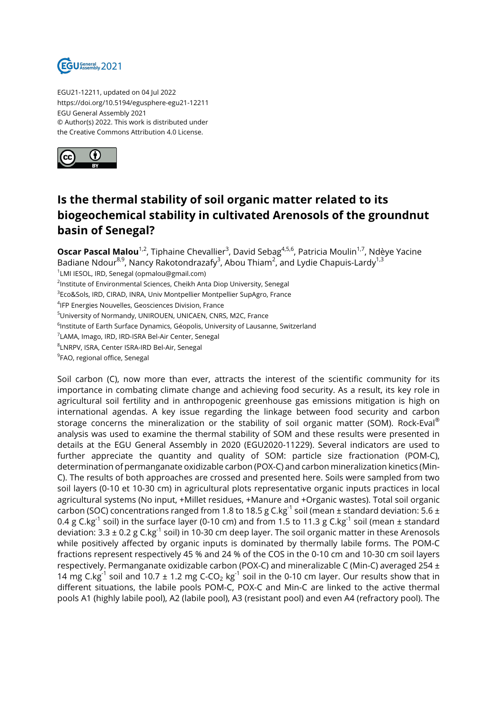

EGU21-12211, updated on 04 Jul 2022 https://doi.org/10.5194/egusphere-egu21-12211 EGU General Assembly 2021 © Author(s) 2022. This work is distributed under the Creative Commons Attribution 4.0 License.



## **Is the thermal stability of soil organic matter related to its biogeochemical stability in cultivated Arenosols of the groundnut basin of Senegal?**

**Oscar Pascal Malou**<sup>1,2</sup>, Tiphaine Chevallier<sup>3</sup>, David Sebag<sup>4,5,6</sup>, Patricia Moulin<sup>1,7</sup>, Ndèye Yacine Badiane Ndour<sup>8,9</sup>, Nancy Rakotondrazafy<sup>3</sup>, Abou Thiam<sup>2</sup>, and Lydie Chapuis-Lardy<sup>1,3</sup> 1 LMI IESOL, IRD, Senegal (opmalou@gmail.com) <sup>2</sup>Institute of Environmental Sciences, Cheikh Anta Diop University, Senegal  $^3$ Eco&Sols, IRD, CIRAD, INRA, Univ Montpellier Montpellier SupAgro, France 4 IFP Energies Nouvelles, Geosciences Division, France <sup>5</sup>University of Normandy, UNIROUEN, UNICAEN, CNRS, M2C, France  $^6$ Institute of Earth Surface Dynamics, Géopolis, University of Lausanne, Switzerland <sup>7</sup>LAMA, Imago, IRD, IRD-ISRA Bel-Air Center, Senegal 8 LNRPV, ISRA, Center ISRA-IRD Bel-Air, Senegal <sup>9</sup>FAO, regional office, Senegal

Soil carbon (C), now more than ever, attracts the interest of the scientific community for its importance in combating climate change and achieving food security. As a result, its key role in agricultural soil fertility and in anthropogenic greenhouse gas emissions mitigation is high on international agendas. A key issue regarding the linkage between food security and carbon storage concerns the mineralization or the stability of soil organic matter (SOM). Rock-Eval<sup>®</sup> analysis was used to examine the thermal stability of SOM and these results were presented in details at the EGU General Assembly in 2020 (EGU2020-11229). Several indicators are used to further appreciate the quantity and quality of SOM: particle size fractionation (POM-C), determination of permanganate oxidizable carbon (POX-C) and carbon mineralization kinetics (Min-C). The results of both approaches are crossed and presented here. Soils were sampled from two soil layers (0-10 et 10-30 cm) in agricultural plots representative organic inputs practices in local agricultural systems (No input, +Millet residues, +Manure and +Organic wastes). Total soil organic carbon (SOC) concentrations ranged from 1.8 to 18.5 g C.kg<sup>-1</sup> soil (mean ± standard deviation: 5.6 ± 0.4 g C.kg<sup>-1</sup> soil) in the surface layer (0-10 cm) and from 1.5 to 11.3 g C.kg<sup>-1</sup> soil (mean ± standard deviation:  $3.3 \pm 0.2$  g C.kg<sup>-1</sup> soil) in 10-30 cm deep layer. The soil organic matter in these Arenosols while positively affected by organic inputs is dominated by thermally labile forms. The POM-C fractions represent respectively 45 % and 24 % of the COS in the 0-10 cm and 10-30 cm soil layers respectively. Permanganate oxidizable carbon (POX-C) and mineralizable C (Min-C) averaged 254 ± 14 mg C.kg<sup>-1</sup> soil and 10.7  $\pm$  1.2 mg C-CO<sub>2</sub> kg<sup>-1</sup> soil in the 0-10 cm layer. Our results show that in different situations, the labile pools POM-C, POX-C and Min-C are linked to the active thermal pools A1 (highly labile pool), A2 (labile pool), A3 (resistant pool) and even A4 (refractory pool). The